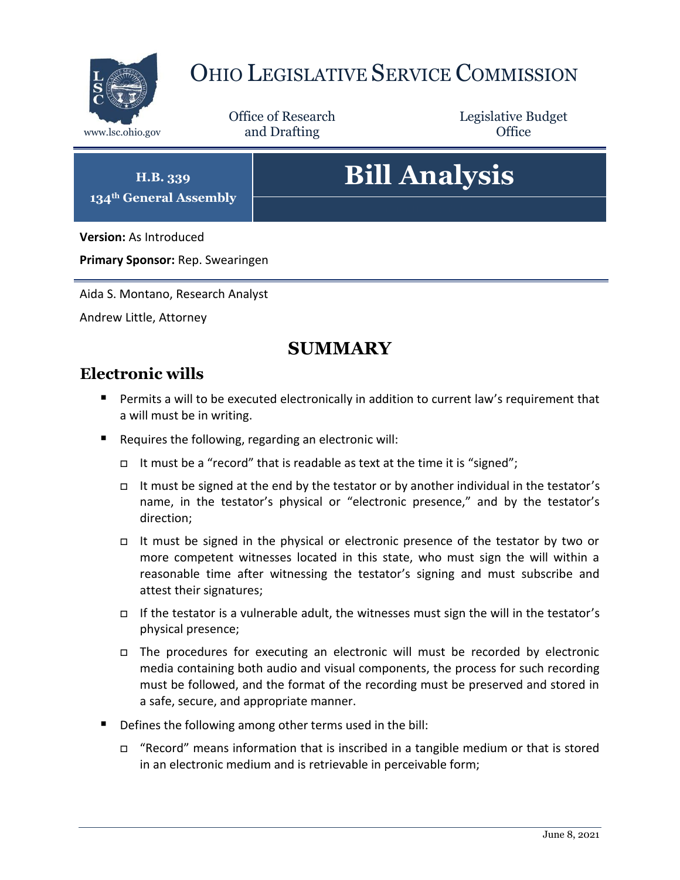

# OHIO LEGISLATIVE SERVICE COMMISSION

Office of Research www.lsc.ohio.gov **and Drafting Office** 

Legislative Budget

**H.B. 339 134th General Assembly**

# **Bill Analysis**

**Version:** As Introduced

**Primary Sponsor:** Rep. Swearingen

Aida S. Montano, Research Analyst

Andrew Little, Attorney

# **SUMMARY**

## **Electronic wills**

- Permits a will to be executed electronically in addition to current law's requirement that a will must be in writing.
- Requires the following, regarding an electronic will:
	- It must be a "record" that is readable as text at the time it is "signed";
	- It must be signed at the end by the testator or by another individual in the testator's name, in the testator's physical or "electronic presence," and by the testator's direction;
	- It must be signed in the physical or electronic presence of the testator by two or more competent witnesses located in this state, who must sign the will within a reasonable time after witnessing the testator's signing and must subscribe and attest their signatures;
	- If the testator is a vulnerable adult, the witnesses must sign the will in the testator's physical presence;
	- The procedures for executing an electronic will must be recorded by electronic media containing both audio and visual components, the process for such recording must be followed, and the format of the recording must be preserved and stored in a safe, secure, and appropriate manner.
- Defines the following among other terms used in the bill:
	- "Record" means information that is inscribed in a tangible medium or that is stored in an electronic medium and is retrievable in perceivable form;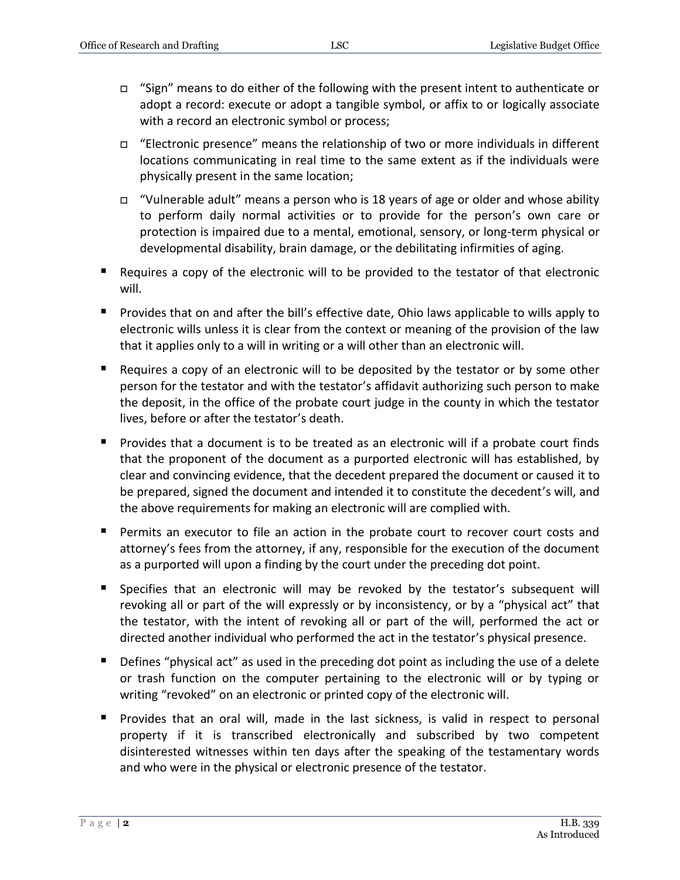- $\Box$  "Sign" means to do either of the following with the present intent to authenticate or adopt a record: execute or adopt a tangible symbol, or affix to or logically associate with a record an electronic symbol or process;
- $\Box$  "Electronic presence" means the relationship of two or more individuals in different locations communicating in real time to the same extent as if the individuals were physically present in the same location;
- $\Box$  "Vulnerable adult" means a person who is 18 years of age or older and whose ability to perform daily normal activities or to provide for the person's own care or protection is impaired due to a mental, emotional, sensory, or long-term physical or developmental disability, brain damage, or the debilitating infirmities of aging.
- Requires a copy of the electronic will to be provided to the testator of that electronic will.
- **Provides that on and after the bill's effective date, Ohio laws applicable to wills apply to** electronic wills unless it is clear from the context or meaning of the provision of the law that it applies only to a will in writing or a will other than an electronic will.
- $\blacksquare$  Requires a copy of an electronic will to be deposited by the testator or by some other person for the testator and with the testator's affidavit authorizing such person to make the deposit, in the office of the probate court judge in the county in which the testator lives, before or after the testator's death.
- **Provides that a document is to be treated as an electronic will if a probate court finds** that the proponent of the document as a purported electronic will has established, by clear and convincing evidence, that the decedent prepared the document or caused it to be prepared, signed the document and intended it to constitute the decedent's will, and the above requirements for making an electronic will are complied with.
- Permits an executor to file an action in the probate court to recover court costs and attorney's fees from the attorney, if any, responsible for the execution of the document as a purported will upon a finding by the court under the preceding dot point.
- Specifies that an electronic will may be revoked by the testator's subsequent will revoking all or part of the will expressly or by inconsistency, or by a "physical act" that the testator, with the intent of revoking all or part of the will, performed the act or directed another individual who performed the act in the testator's physical presence.
- **Defines "physical act" as used in the preceding dot point as including the use of a delete** or trash function on the computer pertaining to the electronic will or by typing or writing "revoked" on an electronic or printed copy of the electronic will.
- Provides that an oral will, made in the last sickness, is valid in respect to personal property if it is transcribed electronically and subscribed by two competent disinterested witnesses within ten days after the speaking of the testamentary words and who were in the physical or electronic presence of the testator.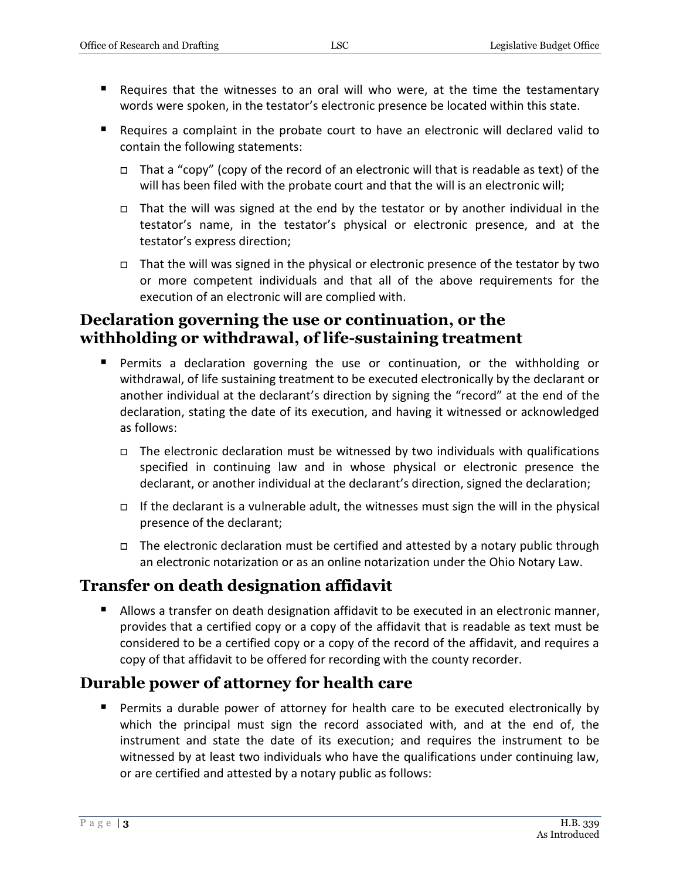- Requires that the witnesses to an oral will who were, at the time the testamentary words were spoken, in the testator's electronic presence be located within this state.
- Requires a complaint in the probate court to have an electronic will declared valid to contain the following statements:
	- That a "copy" (copy of the record of an electronic will that is readable as text) of the will has been filed with the probate court and that the will is an electronic will;
	- $\Box$  That the will was signed at the end by the testator or by another individual in the testator's name, in the testator's physical or electronic presence, and at the testator's express direction;
	- $\Box$  That the will was signed in the physical or electronic presence of the testator by two or more competent individuals and that all of the above requirements for the execution of an electronic will are complied with.

### **Declaration governing the use or continuation, or the withholding or withdrawal, of life-sustaining treatment**

- Permits a declaration governing the use or continuation, or the withholding or withdrawal, of life sustaining treatment to be executed electronically by the declarant or another individual at the declarant's direction by signing the "record" at the end of the declaration, stating the date of its execution, and having it witnessed or acknowledged as follows:
	- $\Box$  The electronic declaration must be witnessed by two individuals with qualifications specified in continuing law and in whose physical or electronic presence the declarant, or another individual at the declarant's direction, signed the declaration;
	- □ If the declarant is a vulnerable adult, the witnesses must sign the will in the physical presence of the declarant;
	- $\Box$  The electronic declaration must be certified and attested by a notary public through an electronic notarization or as an online notarization under the Ohio Notary Law.

# **Transfer on death designation affidavit**

Allows a transfer on death designation affidavit to be executed in an electronic manner, provides that a certified copy or a copy of the affidavit that is readable as text must be considered to be a certified copy or a copy of the record of the affidavit, and requires a copy of that affidavit to be offered for recording with the county recorder.

# **Durable power of attorney for health care**

**Permits a durable power of attorney for health care to be executed electronically by** which the principal must sign the record associated with, and at the end of, the instrument and state the date of its execution; and requires the instrument to be witnessed by at least two individuals who have the qualifications under continuing law, or are certified and attested by a notary public as follows: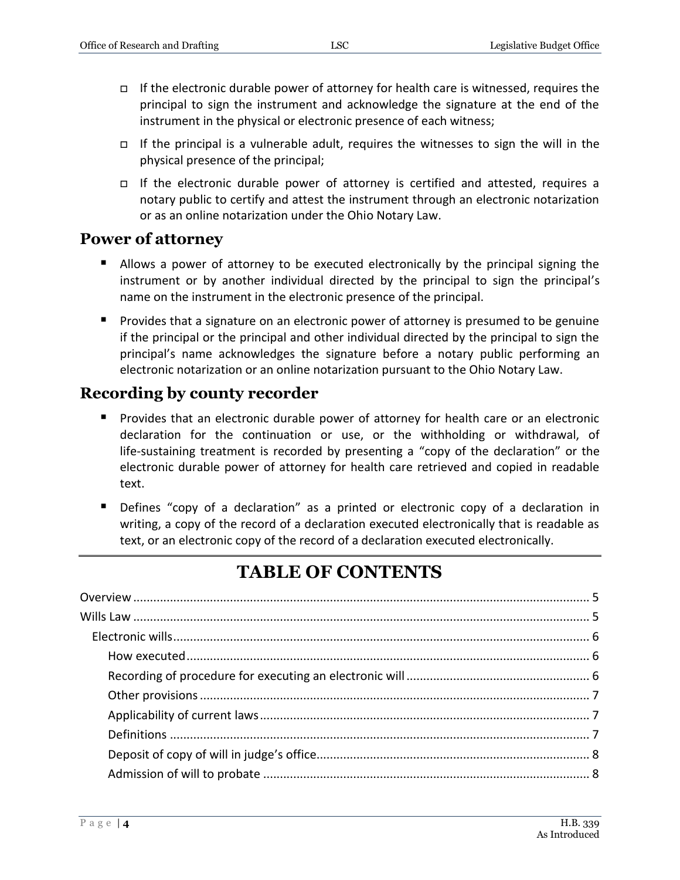- If the electronic durable power of attorney for health care is witnessed, requires the principal to sign the instrument and acknowledge the signature at the end of the instrument in the physical or electronic presence of each witness;
- If the principal is a vulnerable adult, requires the witnesses to sign the will in the physical presence of the principal;
- □ If the electronic durable power of attorney is certified and attested, requires a notary public to certify and attest the instrument through an electronic notarization or as an online notarization under the Ohio Notary Law.

### **Power of attorney**

- Allows a power of attorney to be executed electronically by the principal signing the instrument or by another individual directed by the principal to sign the principal's name on the instrument in the electronic presence of the principal.
- **Provides that a signature on an electronic power of attorney is presumed to be genuine** if the principal or the principal and other individual directed by the principal to sign the principal's name acknowledges the signature before a notary public performing an electronic notarization or an online notarization pursuant to the Ohio Notary Law.

# **Recording by county recorder**

- Provides that an electronic durable power of attorney for health care or an electronic declaration for the continuation or use, or the withholding or withdrawal, of life-sustaining treatment is recorded by presenting a "copy of the declaration" or the electronic durable power of attorney for health care retrieved and copied in readable text.
- **Defines "copy of a declaration" as a printed or electronic copy of a declaration in** writing, a copy of the record of a declaration executed electronically that is readable as text, or an electronic copy of the record of a declaration executed electronically.

# **TABLE OF CONTENTS**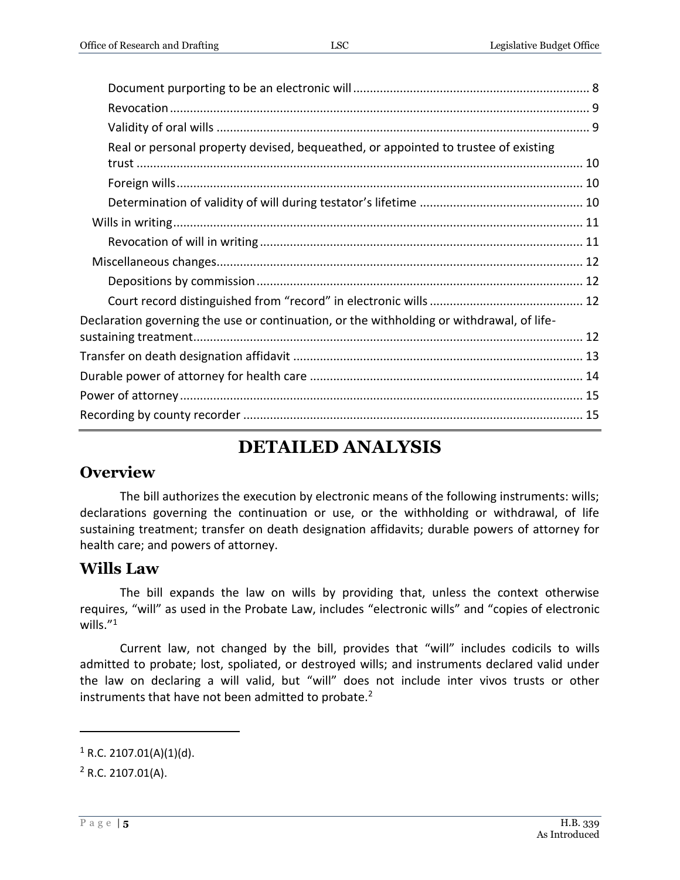| Real or personal property devised, bequeathed, or appointed to trustee of existing        |  |
|-------------------------------------------------------------------------------------------|--|
|                                                                                           |  |
|                                                                                           |  |
|                                                                                           |  |
|                                                                                           |  |
|                                                                                           |  |
|                                                                                           |  |
|                                                                                           |  |
|                                                                                           |  |
| Declaration governing the use or continuation, or the withholding or withdrawal, of life- |  |
|                                                                                           |  |
|                                                                                           |  |
|                                                                                           |  |
|                                                                                           |  |
|                                                                                           |  |
|                                                                                           |  |

# **DETAILED ANALYSIS**

# <span id="page-4-0"></span>**Overview**

The bill authorizes the execution by electronic means of the following instruments: wills; declarations governing the continuation or use, or the withholding or withdrawal, of life sustaining treatment; transfer on death designation affidavits; durable powers of attorney for health care; and powers of attorney.

# <span id="page-4-1"></span>**Wills Law**

The bill expands the law on wills by providing that, unless the context otherwise requires, "will" as used in the Probate Law, includes "electronic wills" and "copies of electronic wills. $^{\prime\prime 1}$ 

Current law, not changed by the bill, provides that "will" includes codicils to wills admitted to probate; lost, spoliated, or destroyed wills; and instruments declared valid under the law on declaring a will valid, but "will" does not include inter vivos trusts or other instruments that have not been admitted to probate.<sup>2</sup>

 $1$  R.C. 2107.01(A)(1)(d).

 $2$  R.C. 2107.01(A).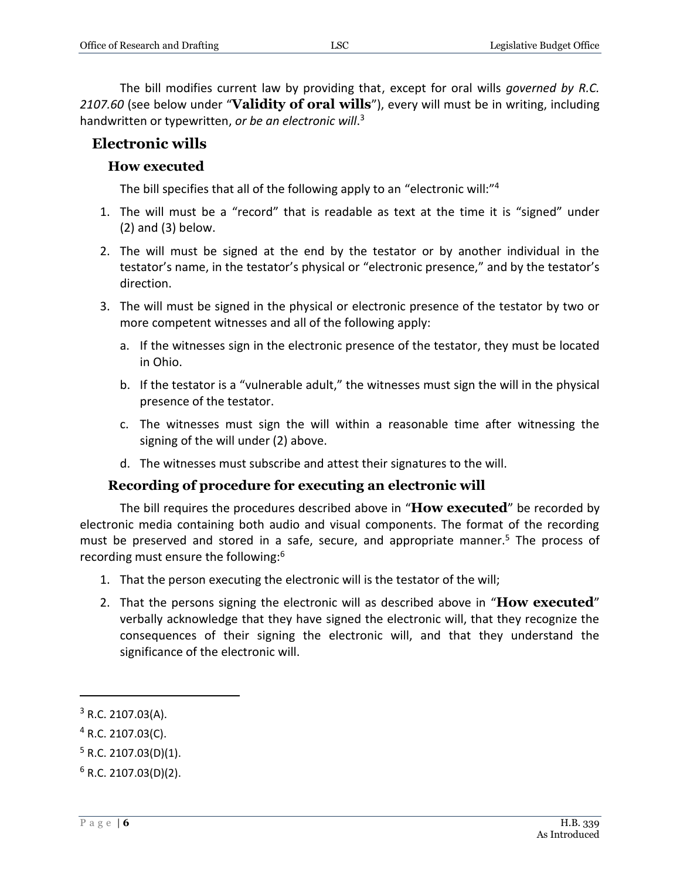The bill modifies current law by providing that, except for oral wills *governed by R.C. 2107.60* (see below under "**Validity of oral wills**"), every will must be in writing, including handwritten or typewritten, *or be an electronic will*. 3

#### <span id="page-5-1"></span><span id="page-5-0"></span>**Electronic wills**

#### **How executed**

The bill specifies that all of the following apply to an "electronic will:"<sup>4</sup>

- 1. The will must be a "record" that is readable as text at the time it is "signed" under (2) and (3) below.
- 2. The will must be signed at the end by the testator or by another individual in the testator's name, in the testator's physical or "electronic presence," and by the testator's direction.
- 3. The will must be signed in the physical or electronic presence of the testator by two or more competent witnesses and all of the following apply:
	- a. If the witnesses sign in the electronic presence of the testator, they must be located in Ohio.
	- b. If the testator is a "vulnerable adult," the witnesses must sign the will in the physical presence of the testator.
	- c. The witnesses must sign the will within a reasonable time after witnessing the signing of the will under (2) above.
	- d. The witnesses must subscribe and attest their signatures to the will.

#### **Recording of procedure for executing an electronic will**

<span id="page-5-2"></span>The bill requires the procedures described above in "**How executed**" be recorded by electronic media containing both audio and visual components. The format of the recording must be preserved and stored in a safe, secure, and appropriate manner.<sup>5</sup> The process of recording must ensure the following:<sup>6</sup>

- 1. That the person executing the electronic will is the testator of the will;
- 2. That the persons signing the electronic will as described above in "**How executed**" verbally acknowledge that they have signed the electronic will, that they recognize the consequences of their signing the electronic will, and that they understand the significance of the electronic will.

 $3$  R.C. 2107.03(A).

 $4$  R.C. 2107.03(C).

 $5$  R.C. 2107.03(D)(1).

 $6$  R.C. 2107.03(D)(2).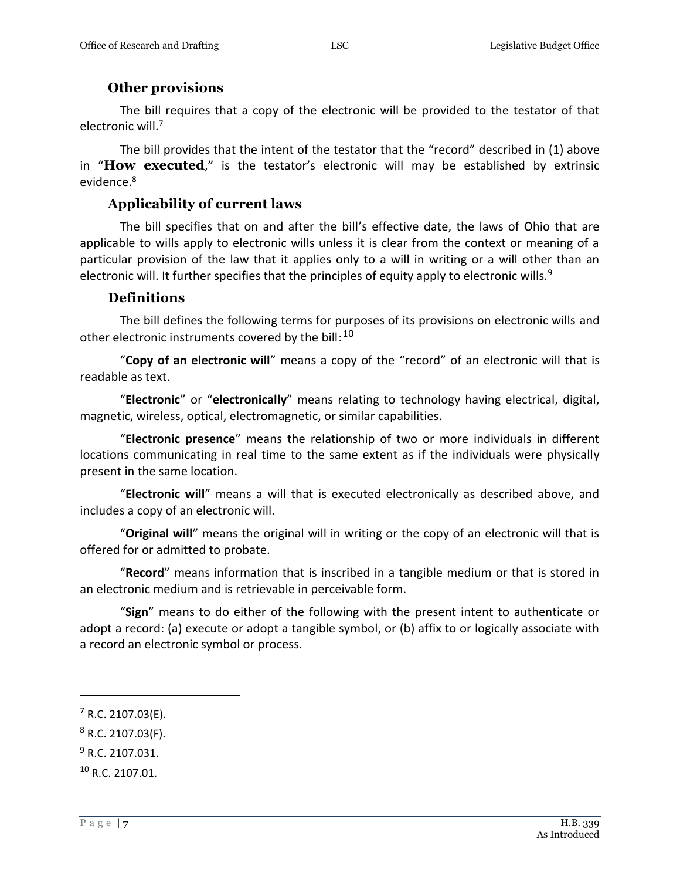#### **Other provisions**

<span id="page-6-0"></span>The bill requires that a copy of the electronic will be provided to the testator of that electronic will.<sup>7</sup>

The bill provides that the intent of the testator that the "record" described in (1) above in "**How executed**," is the testator's electronic will may be established by extrinsic evidence.<sup>8</sup>

#### **Applicability of current laws**

<span id="page-6-1"></span>The bill specifies that on and after the bill's effective date, the laws of Ohio that are applicable to wills apply to electronic wills unless it is clear from the context or meaning of a particular provision of the law that it applies only to a will in writing or a will other than an electronic will. It further specifies that the principles of equity apply to electronic wills.<sup>9</sup>

#### **Definitions**

<span id="page-6-2"></span>The bill defines the following terms for purposes of its provisions on electronic wills and other electronic instruments covered by the bill: $^{10}$ 

"**Copy of an electronic will**" means a copy of the "record" of an electronic will that is readable as text.

"**Electronic**" or "**electronically**" means relating to technology having electrical, digital, magnetic, wireless, optical, electromagnetic, or similar capabilities.

"**Electronic presence**" means the relationship of two or more individuals in different locations communicating in real time to the same extent as if the individuals were physically present in the same location.

"**Electronic will**" means a will that is executed electronically as described above, and includes a copy of an electronic will.

"**Original will**" means the original will in writing or the copy of an electronic will that is offered for or admitted to probate.

"**Record**" means information that is inscribed in a tangible medium or that is stored in an electronic medium and is retrievable in perceivable form.

"**Sign**" means to do either of the following with the present intent to authenticate or adopt a record: (a) execute or adopt a tangible symbol, or (b) affix to or logically associate with a record an electronic symbol or process.

- <sup>9</sup> R.C. 2107.031.
- <sup>10</sup> R.C. 2107.01.

 $7$  R.C. 2107.03(E).

 $8$  R.C. 2107.03(F).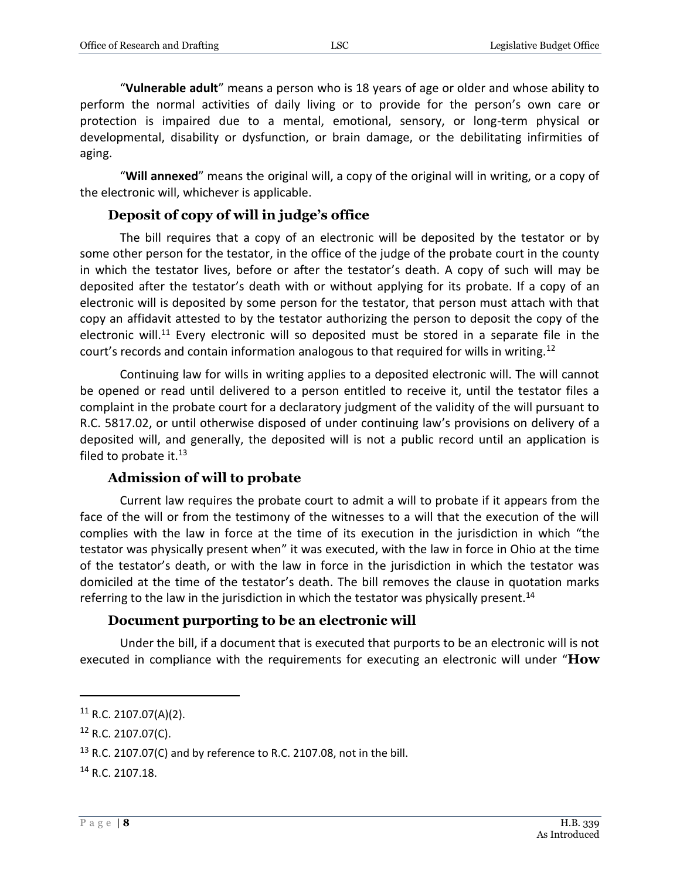"**Vulnerable adult**" means a person who is 18 years of age or older and whose ability to perform the normal activities of daily living or to provide for the person's own care or protection is impaired due to a mental, emotional, sensory, or long-term physical or developmental, disability or dysfunction, or brain damage, or the debilitating infirmities of aging.

"**Will annexed**" means the original will, a copy of the original will in writing, or a copy of the electronic will, whichever is applicable.

#### **Deposit of copy of will in judge's office**

<span id="page-7-0"></span>The bill requires that a copy of an electronic will be deposited by the testator or by some other person for the testator, in the office of the judge of the probate court in the county in which the testator lives, before or after the testator's death. A copy of such will may be deposited after the testator's death with or without applying for its probate. If a copy of an electronic will is deposited by some person for the testator, that person must attach with that copy an affidavit attested to by the testator authorizing the person to deposit the copy of the electronic will.<sup>11</sup> Every electronic will so deposited must be stored in a separate file in the court's records and contain information analogous to that required for wills in writing.<sup>12</sup>

Continuing law for wills in writing applies to a deposited electronic will. The will cannot be opened or read until delivered to a person entitled to receive it, until the testator files a complaint in the probate court for a declaratory judgment of the validity of the will pursuant to R.C. 5817.02, or until otherwise disposed of under continuing law's provisions on delivery of a deposited will, and generally, the deposited will is not a public record until an application is filed to probate it. $13$ 

#### **Admission of will to probate**

<span id="page-7-1"></span>Current law requires the probate court to admit a will to probate if it appears from the face of the will or from the testimony of the witnesses to a will that the execution of the will complies with the law in force at the time of its execution in the jurisdiction in which "the testator was physically present when" it was executed, with the law in force in Ohio at the time of the testator's death, or with the law in force in the jurisdiction in which the testator was domiciled at the time of the testator's death. The bill removes the clause in quotation marks referring to the law in the jurisdiction in which the testator was physically present.<sup>14</sup>

#### **Document purporting to be an electronic will**

<span id="page-7-2"></span>Under the bill, if a document that is executed that purports to be an electronic will is not executed in compliance with the requirements for executing an electronic will under "**How**

 $11$  R.C. 2107.07(A)(2).

<sup>12</sup> R.C. 2107.07(C).

<sup>&</sup>lt;sup>13</sup> R.C. 2107.07(C) and by reference to R.C. 2107.08, not in the bill.

<sup>14</sup> R.C. 2107.18.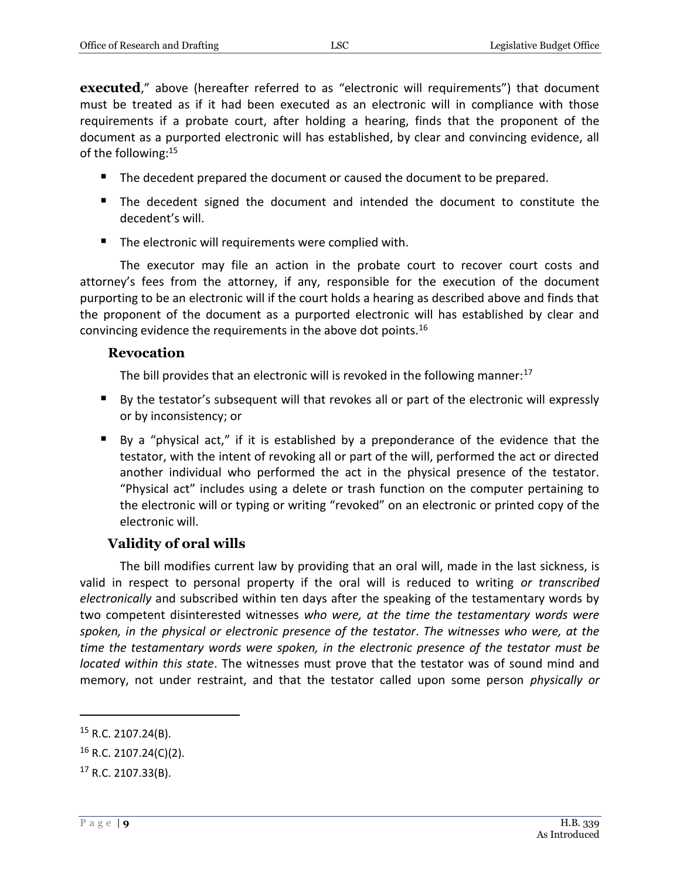**executed**," above (hereafter referred to as "electronic will requirements") that document must be treated as if it had been executed as an electronic will in compliance with those requirements if a probate court, after holding a hearing, finds that the proponent of the document as a purported electronic will has established, by clear and convincing evidence, all of the following:<sup>15</sup>

- The decedent prepared the document or caused the document to be prepared.
- The decedent signed the document and intended the document to constitute the decedent's will.
- The electronic will requirements were complied with.

The executor may file an action in the probate court to recover court costs and attorney's fees from the attorney, if any, responsible for the execution of the document purporting to be an electronic will if the court holds a hearing as described above and finds that the proponent of the document as a purported electronic will has established by clear and convincing evidence the requirements in the above dot points.<sup>16</sup>

#### <span id="page-8-0"></span>**Revocation**

The bill provides that an electronic will is revoked in the following manner: $^{17}$ 

- By the testator's subsequent will that revokes all or part of the electronic will expressly or by inconsistency; or
- By a "physical act," if it is established by a preponderance of the evidence that the testator, with the intent of revoking all or part of the will, performed the act or directed another individual who performed the act in the physical presence of the testator. "Physical act" includes using a delete or trash function on the computer pertaining to the electronic will or typing or writing "revoked" on an electronic or printed copy of the electronic will.

### **Validity of oral wills**

<span id="page-8-1"></span>The bill modifies current law by providing that an oral will, made in the last sickness, is valid in respect to personal property if the oral will is reduced to writing *or transcribed electronically* and subscribed within ten days after the speaking of the testamentary words by two competent disinterested witnesses *who were, at the time the testamentary words were spoken, in the physical or electronic presence of the testator*. *The witnesses who were, at the time the testamentary words were spoken, in the electronic presence of the testator must be located within this state*. The witnesses must prove that the testator was of sound mind and memory, not under restraint, and that the testator called upon some person *physically or* 

<sup>15</sup> R.C. 2107.24(B).

<sup>16</sup> R.C. 2107.24(C)(2).

 $17$  R.C. 2107.33(B).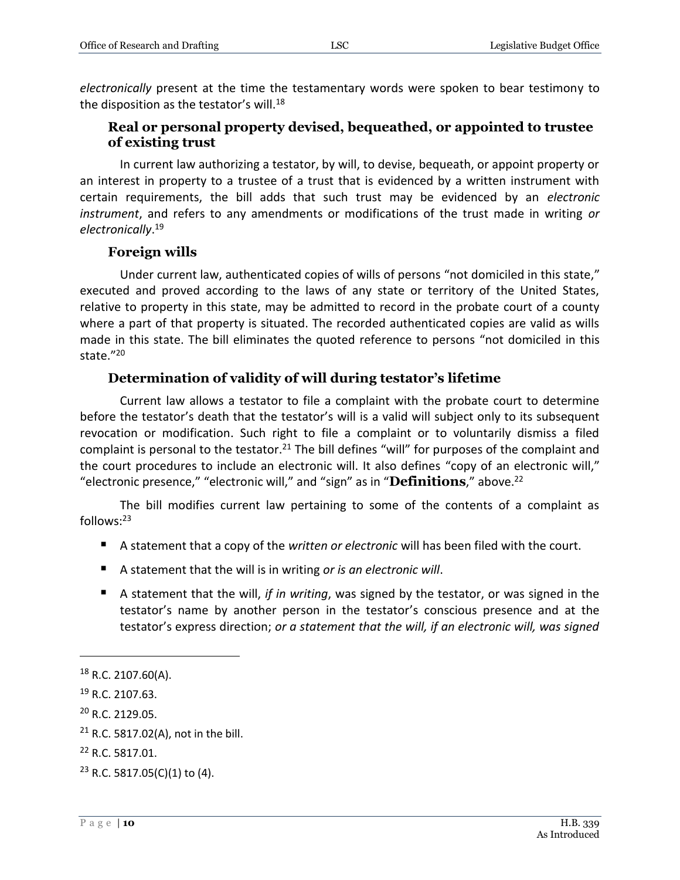*electronically* present at the time the testamentary words were spoken to bear testimony to the disposition as the testator's will.<sup>18</sup>

#### <span id="page-9-0"></span>**Real or personal property devised, bequeathed, or appointed to trustee of existing trust**

In current law authorizing a testator, by will, to devise, bequeath, or appoint property or an interest in property to a trustee of a trust that is evidenced by a written instrument with certain requirements, the bill adds that such trust may be evidenced by an *electronic instrument*, and refers to any amendments or modifications of the trust made in writing *or electronically*. 19

#### **Foreign wills**

<span id="page-9-1"></span>Under current law, authenticated copies of wills of persons "not domiciled in this state," executed and proved according to the laws of any state or territory of the United States, relative to property in this state, may be admitted to record in the probate court of a county where a part of that property is situated. The recorded authenticated copies are valid as wills made in this state. The bill eliminates the quoted reference to persons "not domiciled in this state." 20

#### **Determination of validity of will during testator's lifetime**

<span id="page-9-2"></span>Current law allows a testator to file a complaint with the probate court to determine before the testator's death that the testator's will is a valid will subject only to its subsequent revocation or modification. Such right to file a complaint or to voluntarily dismiss a filed complaint is personal to the testator.<sup>21</sup> The bill defines "will" for purposes of the complaint and the court procedures to include an electronic will. It also defines "copy of an electronic will," "electronic presence," "electronic will," and "sign" as in "**Definitions**," above.<sup>22</sup>

The bill modifies current law pertaining to some of the contents of a complaint as follows:<sup>23</sup>

- A statement that a copy of the *written or electronic* will has been filed with the court.
- A statement that the will is in writing *or is an electronic will*.
- A statement that the will, *if in writing*, was signed by the testator, or was signed in the testator's name by another person in the testator's conscious presence and at the testator's express direction; *or a statement that the will, if an electronic will, was signed*

<sup>18</sup> R.C. 2107.60(A).

<sup>19</sup> R.C. 2107.63.

<sup>20</sup> R.C. 2129.05.

<sup>&</sup>lt;sup>21</sup> R.C. 5817.02(A), not in the bill.

<sup>22</sup> R.C. 5817.01.

<sup>23</sup> R.C. 5817.05(C)(1) to (4).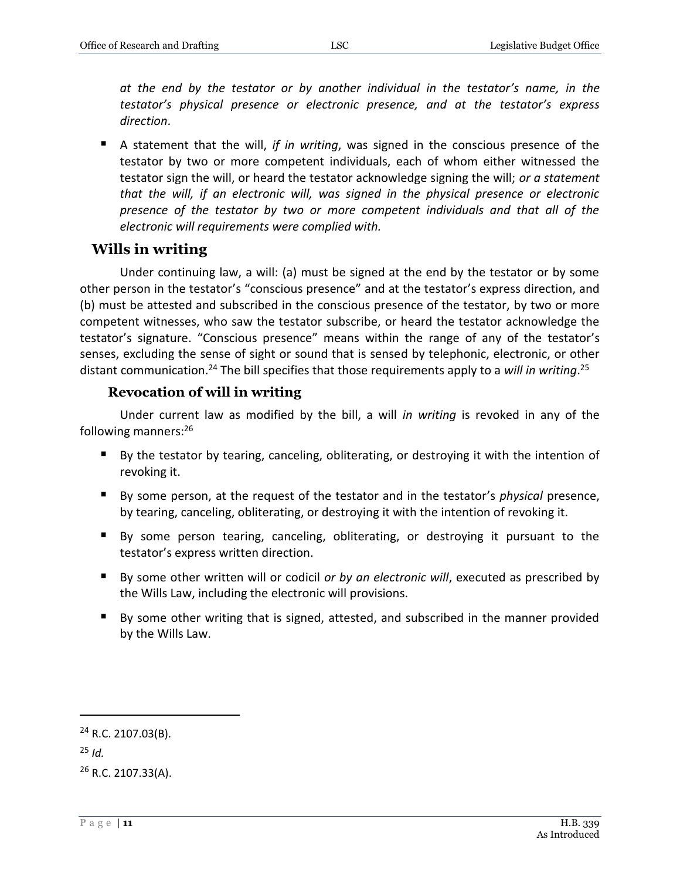*at the end by the testator or by another individual in the testator's name, in the testator's physical presence or electronic presence, and at the testator's express direction*.

 A statement that the will, *if in writing*, was signed in the conscious presence of the testator by two or more competent individuals, each of whom either witnessed the testator sign the will, or heard the testator acknowledge signing the will; *or a statement that the will, if an electronic will, was signed in the physical presence or electronic presence of the testator by two or more competent individuals and that all of the electronic will requirements were complied with.*

#### <span id="page-10-0"></span>**Wills in writing**

Under continuing law, a will: (a) must be signed at the end by the testator or by some other person in the testator's "conscious presence" and at the testator's express direction, and (b) must be attested and subscribed in the conscious presence of the testator, by two or more competent witnesses, who saw the testator subscribe, or heard the testator acknowledge the testator's signature. "Conscious presence" means within the range of any of the testator's senses, excluding the sense of sight or sound that is sensed by telephonic, electronic, or other distant communication.<sup>24</sup> The bill specifies that those requirements apply to a *will in writing*. 25

#### **Revocation of will in writing**

<span id="page-10-1"></span>Under current law as modified by the bill, a will *in writing* is revoked in any of the following manners:<sup>26</sup>

- By the testator by tearing, canceling, obliterating, or destroying it with the intention of revoking it.
- By some person, at the request of the testator and in the testator's *physical* presence, by tearing, canceling, obliterating, or destroying it with the intention of revoking it.
- By some person tearing, canceling, obliterating, or destroying it pursuant to the testator's express written direction.
- By some other written will or codicil *or by an electronic will*, executed as prescribed by the Wills Law, including the electronic will provisions.
- By some other writing that is signed, attested, and subscribed in the manner provided by the Wills Law.

<sup>25</sup> *Id.*

<sup>24</sup> R.C. 2107.03(B).

<sup>26</sup> R.C. 2107.33(A).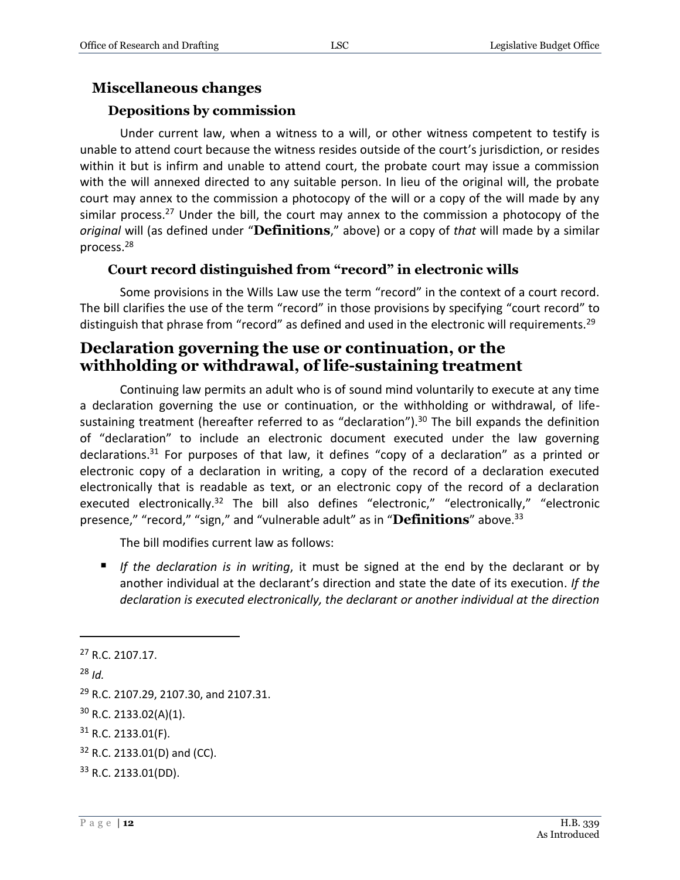#### <span id="page-11-0"></span>**Miscellaneous changes**

#### **Depositions by commission**

<span id="page-11-1"></span>Under current law, when a witness to a will, or other witness competent to testify is unable to attend court because the witness resides outside of the court's jurisdiction, or resides within it but is infirm and unable to attend court, the probate court may issue a commission with the will annexed directed to any suitable person. In lieu of the original will, the probate court may annex to the commission a photocopy of the will or a copy of the will made by any similar process.<sup>27</sup> Under the bill, the court may annex to the commission a photocopy of the *original* will (as defined under "**Definitions**," above) or a copy of *that* will made by a similar process.<sup>28</sup>

#### **Court record distinguished from "record" in electronic wills**

<span id="page-11-2"></span>Some provisions in the Wills Law use the term "record" in the context of a court record. The bill clarifies the use of the term "record" in those provisions by specifying "court record" to distinguish that phrase from "record" as defined and used in the electronic will requirements.<sup>29</sup>

### <span id="page-11-3"></span>**Declaration governing the use or continuation, or the withholding or withdrawal, of life-sustaining treatment**

Continuing law permits an adult who is of sound mind voluntarily to execute at any time a declaration governing the use or continuation, or the withholding or withdrawal, of lifesustaining treatment (hereafter referred to as "declaration").<sup>30</sup> The bill expands the definition of "declaration" to include an electronic document executed under the law governing declarations.<sup>31</sup> For purposes of that law, it defines "copy of a declaration" as a printed or electronic copy of a declaration in writing, a copy of the record of a declaration executed electronically that is readable as text, or an electronic copy of the record of a declaration executed electronically.<sup>32</sup> The bill also defines "electronic," "electronically," "electronic presence," "record," "sign," and "vulnerable adult" as in "**Definitions**" above.<sup>33</sup>

The bill modifies current law as follows:

 *If the declaration is in writing*, it must be signed at the end by the declarant or by another individual at the declarant's direction and state the date of its execution. *If the declaration is executed electronically, the declarant or another individual at the direction* 

<sup>27</sup> R.C. 2107.17. <sup>28</sup> *Id.* <sup>29</sup> R.C. 2107.29, 2107.30, and 2107.31. <sup>30</sup> R.C. 2133.02(A)(1).  $31$  R.C. 2133.01(F). <sup>32</sup> R.C. 2133.01(D) and (CC).

<sup>33</sup> R.C. 2133.01(DD).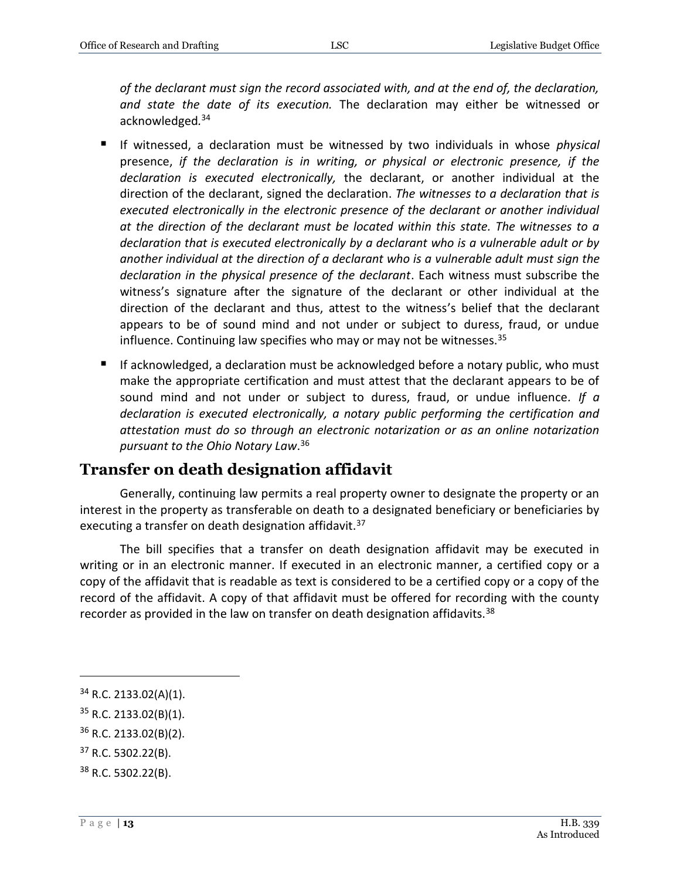*of the declarant must sign the record associated with, and at the end of, the declaration, and state the date of its execution.* The declaration may either be witnessed or acknowledged*.* 34

- If witnessed, a declaration must be witnessed by two individuals in whose *physical* presence, *if the declaration is in writing, or physical or electronic presence, if the declaration is executed electronically,* the declarant, or another individual at the direction of the declarant, signed the declaration. *The witnesses to a declaration that is*  executed electronically in the electronic presence of the declarant or another individual *at the direction of the declarant must be located within this state. The witnesses to a declaration that is executed electronically by a declarant who is a vulnerable adult or by another individual at the direction of a declarant who is a vulnerable adult must sign the declaration in the physical presence of the declarant*. Each witness must subscribe the witness's signature after the signature of the declarant or other individual at the direction of the declarant and thus, attest to the witness's belief that the declarant appears to be of sound mind and not under or subject to duress, fraud, or undue influence. Continuing law specifies who may or may not be witnesses. $35$
- If acknowledged, a declaration must be acknowledged before a notary public, who must make the appropriate certification and must attest that the declarant appears to be of sound mind and not under or subject to duress, fraud, or undue influence*. If a declaration is executed electronically, a notary public performing the certification and attestation must do so through an electronic notarization or as an online notarization pursuant to the Ohio Notary Law*. 36

### <span id="page-12-0"></span>**Transfer on death designation affidavit**

Generally, continuing law permits a real property owner to designate the property or an interest in the property as transferable on death to a designated beneficiary or beneficiaries by executing a transfer on death designation affidavit.<sup>37</sup>

The bill specifies that a transfer on death designation affidavit may be executed in writing or in an electronic manner. If executed in an electronic manner, a certified copy or a copy of the affidavit that is readable as text is considered to be a certified copy or a copy of the record of the affidavit. A copy of that affidavit must be offered for recording with the county recorder as provided in the law on transfer on death designation affidavits.<sup>38</sup>

 $\overline{a}$ 

 $37$  R.C. 5302.22(B).

 $34$  R.C. 2133.02(A)(1).

 $35$  R.C. 2133.02(B)(1).

<sup>36</sup> R.C. 2133.02(B)(2).

<sup>38</sup> R.C. 5302.22(B).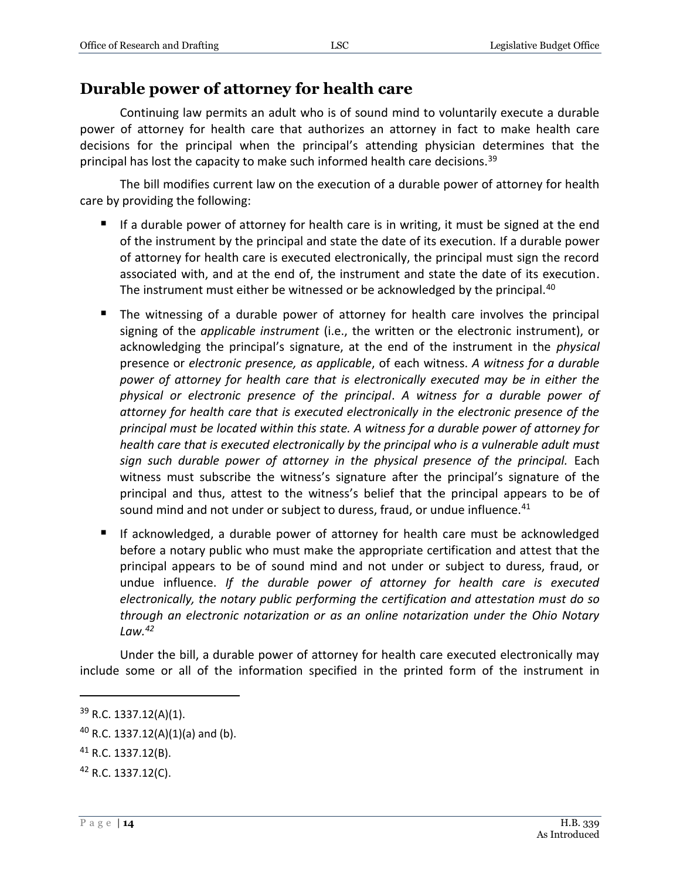## <span id="page-13-0"></span>**Durable power of attorney for health care**

Continuing law permits an adult who is of sound mind to voluntarily execute a durable power of attorney for health care that authorizes an attorney in fact to make health care decisions for the principal when the principal's attending physician determines that the principal has lost the capacity to make such informed health care decisions.<sup>39</sup>

The bill modifies current law on the execution of a durable power of attorney for health care by providing the following:

- If a durable power of attorney for health care is in writing, it must be signed at the end of the instrument by the principal and state the date of its execution. If a durable power of attorney for health care is executed electronically, the principal must sign the record associated with, and at the end of, the instrument and state the date of its execution. The instrument must either be witnessed or be acknowledged by the principal.<sup>40</sup>
- The witnessing of a durable power of attorney for health care involves the principal signing of the *applicable instrument* (i.e., the written or the electronic instrument), or acknowledging the principal's signature, at the end of the instrument in the *physical* presence or *electronic presence, as applicable*, of each witness. *A witness for a durable power of attorney for health care that is electronically executed may be in either the physical or electronic presence of the principal*. *A witness for a durable power of attorney for health care that is executed electronically in the electronic presence of the principal must be located within this state. A witness for a durable power of attorney for health care that is executed electronically by the principal who is a vulnerable adult must sign such durable power of attorney in the physical presence of the principal.* Each witness must subscribe the witness's signature after the principal's signature of the principal and thus, attest to the witness's belief that the principal appears to be of sound mind and not under or subject to duress, fraud, or undue influence.<sup>41</sup>
- If acknowledged, a durable power of attorney for health care must be acknowledged before a notary public who must make the appropriate certification and attest that the principal appears to be of sound mind and not under or subject to duress, fraud, or undue influence. *If the durable power of attorney for health care is executed electronically, the notary public performing the certification and attestation must do so through an electronic notarization or as an online notarization under the Ohio Notary Law.<sup>42</sup>*

Under the bill, a durable power of attorney for health care executed electronically may include some or all of the information specified in the printed form of the instrument in

<sup>39</sup> R.C. 1337.12(A)(1).

 $40$  R.C. 1337.12(A)(1)(a) and (b).

<sup>41</sup> R.C. 1337.12(B).

<sup>42</sup> R.C. 1337.12(C).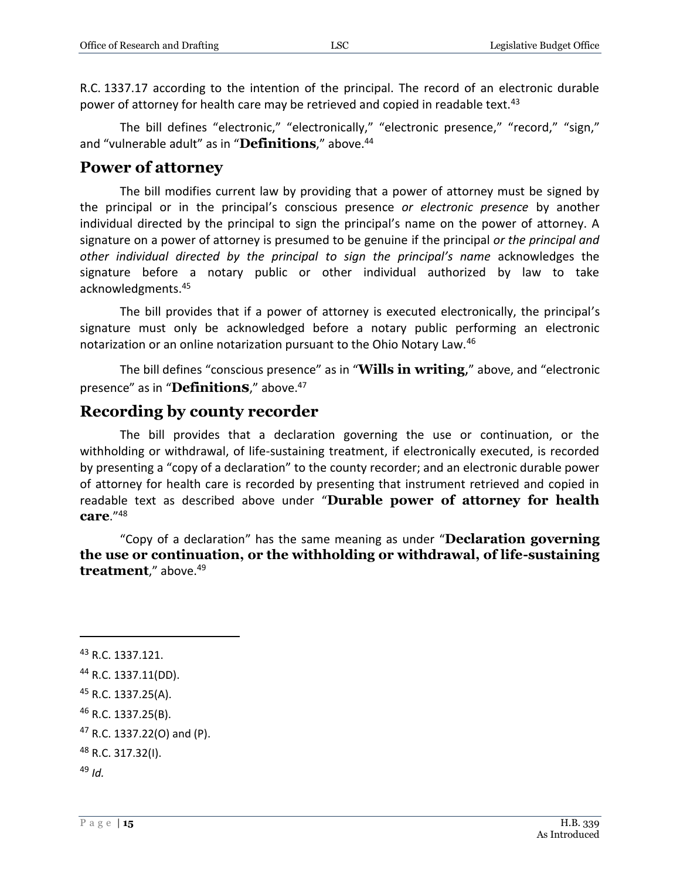R.C. 1337.17 according to the intention of the principal. The record of an electronic durable power of attorney for health care may be retrieved and copied in readable text.<sup>43</sup>

The bill defines "electronic," "electronically," "electronic presence," "record," "sign," and "vulnerable adult" as in "**Definitions**." above.<sup>44</sup>

#### <span id="page-14-0"></span>**Power of attorney**

The bill modifies current law by providing that a power of attorney must be signed by the principal or in the principal's conscious presence *or electronic presence* by another individual directed by the principal to sign the principal's name on the power of attorney. A signature on a power of attorney is presumed to be genuine if the principal *or the principal and other individual directed by the principal to sign the principal's name* acknowledges the signature before a notary public or other individual authorized by law to take acknowledgments.<sup>45</sup>

The bill provides that if a power of attorney is executed electronically, the principal's signature must only be acknowledged before a notary public performing an electronic notarization or an online notarization pursuant to the Ohio Notary Law.<sup>46</sup>

The bill defines "conscious presence" as in "**Wills in writing**," above, and "electronic presence" as in "**Definitions**," above.<sup>47</sup>

### <span id="page-14-1"></span>**Recording by county recorder**

The bill provides that a declaration governing the use or continuation, or the withholding or withdrawal, of life-sustaining treatment, if electronically executed, is recorded by presenting a "copy of a declaration" to the county recorder; and an electronic durable power of attorney for health care is recorded by presenting that instrument retrieved and copied in readable text as described above under "**Durable power of attorney for health care**." 48

"Copy of a declaration" has the same meaning as under "**Declaration governing the use or continuation, or the withholding or withdrawal, of life-sustaining treatment**," above.<sup>49</sup>

<sup>&</sup>lt;sup>43</sup> R.C. 1337.121.

<sup>44</sup> R.C. 1337.11(DD).

<sup>45</sup> R.C. 1337.25(A).

<sup>46</sup> R.C. 1337.25(B).

<sup>47</sup> R.C. 1337.22(O) and (P).

<sup>48</sup> R.C. 317.32(I).

<sup>49</sup> *Id.*